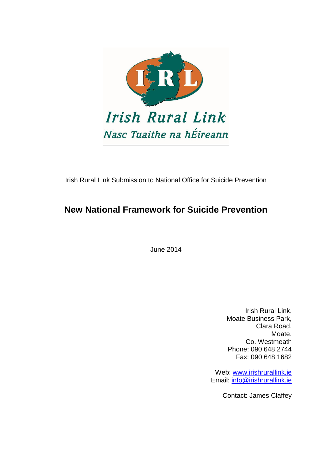

Irish Rural Link Submission to National Office for Suicide Prevention

# **New National Framework for Suicide Prevention**

June 2014

Irish Rural Link, Moate Business Park, Clara Road, Moate, Co. Westmeath Phone: 090 648 2744 Fax: 090 648 1682

Web: [www.irishrurallink.ie](http://www.irishrurallink.ie/) Email: [info@irishrurallink.ie](mailto:info@irishrurallink.ie)

Contact: James Claffey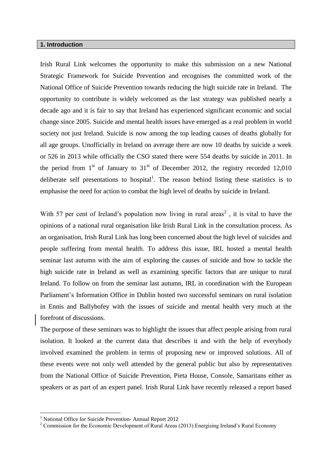# **1. Introduction**

Irish Rural Link welcomes the opportunity to make this submission on a new National Strategic Framework for Suicide Prevention and recognises the committed work of the National Office of Suicide Prevention towards reducing the high suicide rate in Ireland. The opportunity to contribute is widely welcomed as the last strategy was published nearly a decade ago and it is fair to say that Ireland has experienced significant economic and social change since 2005. Suicide and mental health issues have emerged as a real problem in world society not just Ireland. Suicide is now among the top leading causes of deaths globally for all age groups. Unofficially in Ireland on average there are now 10 deaths by suicide a week or 526 in 2013 while officially the CSO stated there were 554 deaths by suicide in 2011. In the period from  $1<sup>st</sup>$  of January to  $31<sup>st</sup>$  of December 2012, the registry recorded 12,010 deliberate self presentations to hospital<sup>1</sup>. The reason behind listing these statistics is to emphasise the need for action to combat the high level of deaths by suicide in Ireland.

With 57 per cent of Ireland's population now living in rural areas<sup>2</sup>, it is vital to have the opinions of a national rural organisation like Irish Rural Link in the consultation process. As an organisation, Irish Rural Link has long been concerned about the high level of suicides and people suffering from mental health. To address this issue, IRL hosted a mental health seminar last autumn with the aim of exploring the causes of suicide and how to tackle the high suicide rate in Ireland as well as examining specific factors that are unique to rural Ireland. To follow on from the seminar last autumn, IRL in coordination with the European Parliament's Information Office in Dublin hosted two successful seminars on rural isolation in Ennis and Ballybofey with the issues of suicide and mental health very much at the forefront of discussions.

The purpose of these seminars was to highlight the issues that affect people arising from rural isolation. It looked at the current data that describes it and with the help of everybody involved examined the problem in terms of proposing new or improved solutions. All of these events were not only well attended by the general public but also by representatives from the National Office of Suicide Prevention, Pieta House, Console, Samaritans either as speakers or as part of an expert panel. Irish Rural Link have recently released a report based

1

<sup>&</sup>lt;sup>1</sup> National Office for Suicide Prevention- Annual Report 2012

<sup>&</sup>lt;sup>2</sup> Commission for the Economic Development of Rural Areas (2013) Energising Ireland's Rural Economy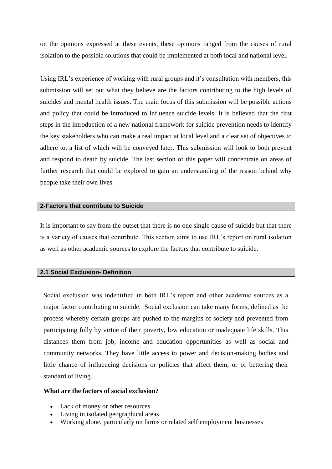on the opinions expressed at these events, these opinions ranged from the causes of rural isolation to the possible solutions that could be implemented at both local and national level.

Using IRL's experience of working with rural groups and it's consultation with members, this submission will set out what they believe are the factors contributing to the high levels of suicides and mental health issues. The main focus of this submission will be possible actions and policy that could be introduced to influence suicide levels. It is believed that the first steps in the introduction of a new national framework for suicide prevention needs to identify the key stakeholders who can make a real impact at local level and a clear set of objectives to adhere to, a list of which will be conveyed later. This submission will look to both prevent and respond to death by suicide. The last section of this paper will concentrate on areas of further research that could be explored to gain an understanding of the reason behind why people take their own lives.

# **2-Factors that contribute to Suicide**

It is important to say from the outset that there is no one single cause of suicide but that there is a variety of causes that contribute. This section aims to use IRL's report on rural isolation as well as other academic sources to explore the factors that contribute to suicide.

# **2.1 Social Exclusion- Definition**

Social exclusion was indentified in both IRL's report and other academic sources as a major factor contributing to suicide. Social exclusion can take many forms, defined as the process whereby certain groups are pushed to the margins of society and prevented from participating fully by virtue of their poverty, low education or inadequate life skills. This distances them from job, income and education opportunities as well as social and community networks. They have little access to power and decision-making bodies and little chance of influencing decisions or policies that affect them, or of bettering their standard of living.

#### **What are the factors of social exclusion?**

- Lack of money or other resources
- Living in isolated geographical areas
- Working alone, particularly on farms or related self employment businesses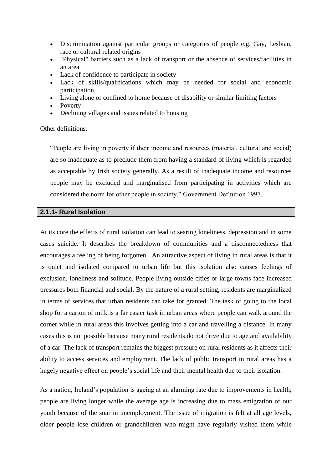- Discrimination against particular groups or categories of people e.g. Gay, Lesbian, race or cultural related origins
- "Physical" barriers such as a lack of transport or the absence of services/facilities in an area
- Lack of confidence to participate in society
- Lack of skills/qualifications which may be needed for social and economic participation
- Living alone or confined to home because of disability or similar limiting factors
- Poverty
- Declining villages and issues related to housing

Other definitions.

"People are living in poverty if their income and resources (material, cultural and social) are so inadequate as to preclude them from having a standard of living which is regarded as acceptable by Irish society generally. As a result of inadequate income and resources people may be excluded and marginalised from participating in activities which are considered the norm for other people in society." Government Definition 1997.

# **2.1.1- Rural Isolation**

At its core the effects of rural isolation can lead to searing loneliness, depression and in some cases suicide. It describes the breakdown of communities and a disconnectedness that encourages a feeling of being forgotten. An attractive aspect of living in rural areas is that it is quiet and isolated compared to urban life but this isolation also causes feelings of exclusion, loneliness and solitude. People living outside cities or large towns face increased pressures both financial and social. By the nature of a rural setting, residents are marginalized in terms of services that urban residents can take for granted. The task of going to the local shop for a carton of milk is a far easier task in urban areas where people can walk around the corner while in rural areas this involves getting into a car and travelling a distance. In many cases this is not possible because many rural residents do not drive due to age and availability of a car. The lack of transport remains the biggest pressure on rural residents as it affects their ability to access services and employment. The lack of public transport in rural areas has a hugely negative effect on people's social life and their mental health due to their isolation.

As a nation, Ireland's population is ageing at an alarming rate due to improvements in health; people are living longer while the average age is increasing due to mass emigration of our youth because of the soar in unemployment. The issue of migration is felt at all age levels, older people lose children or grandchildren who might have regularly visited them while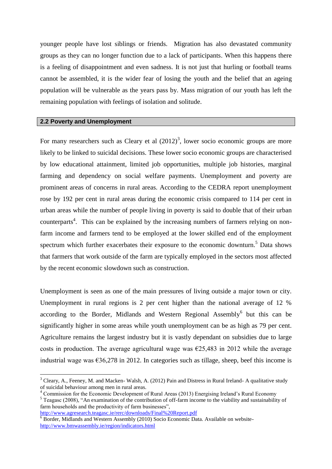younger people have lost siblings or friends. Migration has also devastated community groups as they can no longer function due to a lack of participants. When this happens there is a feeling of disappointment and even sadness. It is not just that hurling or football teams cannot be assembled, it is the wider fear of losing the youth and the belief that an ageing population will be vulnerable as the years pass by. Mass migration of our youth has left the remaining population with feelings of isolation and solitude.

# **2.2 Poverty and Unemployment**

For many researchers such as Cleary et al  $(2012)^3$ , lower socio economic groups are more likely to be linked to suicidal decisions. These lower socio economic groups are characterised by low educational attainment, limited job opportunities, multiple job histories, marginal farming and dependency on social welfare payments. Unemployment and poverty are prominent areas of concerns in rural areas. According to the CEDRA report unemployment rose by 192 per cent in rural areas during the economic crisis compared to 114 per cent in urban areas while the number of people living in poverty is said to double that of their urban counterparts<sup>4</sup>. This can be explained by the increasing numbers of farmers relying on nonfarm income and farmers tend to be employed at the lower skilled end of the employment spectrum which further exacerbates their exposure to the economic downturn.<sup>5</sup> Data shows that farmers that work outside of the farm are typically employed in the sectors most affected by the recent economic slowdown such as construction.

Unemployment is seen as one of the main pressures of living outside a major town or city. Unemployment in rural regions is 2 per cent higher than the national average of 12 % according to the Border, Midlands and Western Regional Assembly<sup>6</sup> but this can be significantly higher in some areas while youth unemployment can be as high as 79 per cent. Agriculture remains the largest industry but it is vastly dependant on subsidies due to large costs in production. The average agricultural wage was  $\epsilon$ 25,483 in 2012 while the average industrial wage was  $\epsilon$ 36,278 in 2012. In categories such as tillage, sheep, beef this income is

<http://www.agresearch.teagasc.ie/rerc/downloads/Final%20Report.pdf>

1

 $3$  Cleary, A., Feeney, M. and Macken-Walsh, A. (2012) Pain and Distress in Rural Ireland- A qualitative study of suicidal behaviour among men in rural areas.

<sup>4</sup> Commission for the Economic Development of Rural Areas (2013) Energising Ireland's Rural Economy

<sup>&</sup>lt;sup>5</sup> Teagasc (2008), "An examination of the contribution of off-farm income to the viability and sustainability of farm households and the productivity of farm businesses",

<sup>&</sup>lt;sup>6</sup> Border, Midlands and Western Assembly (2010) Socio Economic Data. Available on website<http://www.bmwassembly.ie/region/indicators.html>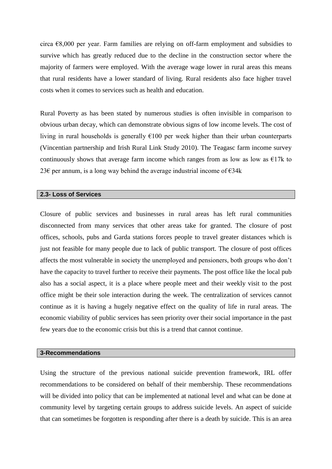circa €8,000 per year. Farm families are relying on off-farm employment and subsidies to survive which has greatly reduced due to the decline in the construction sector where the majority of farmers were employed. With the average wage lower in rural areas this means that rural residents have a lower standard of living. Rural residents also face higher travel costs when it comes to services such as health and education.

Rural Poverty as has been stated by numerous studies is often invisible in comparison to obvious urban decay, which can demonstrate obvious signs of low income levels. The cost of living in rural households is generally  $E100$  per week higher than their urban counterparts (Vincentian partnership and Irish Rural Link Study 2010). The Teagasc farm income survey continuously shows that average farm income which ranges from as low as low as  $E17k$  to 23€ per annum, is a long way behind the average industrial income of  $€34k$ 

#### **2.3- Loss of Services**

Closure of public services and businesses in rural areas has left rural communities disconnected from many services that other areas take for granted. The closure of post offices, schools, pubs and Garda stations forces people to travel greater distances which is just not feasible for many people due to lack of public transport. The closure of post offices affects the most vulnerable in society the unemployed and pensioners, both groups who don't have the capacity to travel further to receive their payments. The post office like the local pub also has a social aspect, it is a place where people meet and their weekly visit to the post office might be their sole interaction during the week. The centralization of services cannot continue as it is having a hugely negative effect on the quality of life in rural areas. The economic viability of public services has seen priority over their social importance in the past few years due to the economic crisis but this is a trend that cannot continue.

# **3-Recommendations**

Using the structure of the previous national suicide prevention framework, IRL offer recommendations to be considered on behalf of their membership. These recommendations will be divided into policy that can be implemented at national level and what can be done at community level by targeting certain groups to address suicide levels. An aspect of suicide that can sometimes be forgotten is responding after there is a death by suicide. This is an area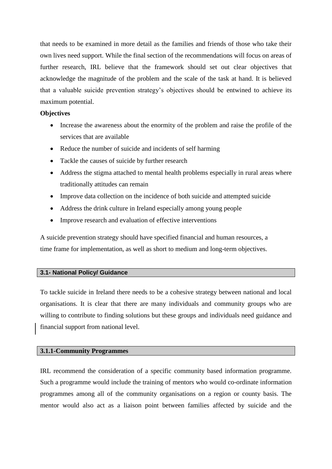that needs to be examined in more detail as the families and friends of those who take their own lives need support. While the final section of the recommendations will focus on areas of further research, IRL believe that the framework should set out clear objectives that acknowledge the magnitude of the problem and the scale of the task at hand. It is believed that a valuable suicide prevention strategy's objectives should be entwined to achieve its maximum potential.

#### **Objectives**

- Increase the awareness about the enormity of the problem and raise the profile of the services that are available
- Reduce the number of suicide and incidents of self harming
- Tackle the causes of suicide by further research
- Address the stigma attached to mental health problems especially in rural areas where traditionally attitudes can remain
- Improve data collection on the incidence of both suicide and attempted suicide
- Address the drink culture in Ireland especially among young people
- Improve research and evaluation of effective interventions

A suicide prevention strategy should have specified financial and human resources, a time frame for implementation, as well as short to medium and long-term objectives.

# **3.1- National Policy/ Guidance**

To tackle suicide in Ireland there needs to be a cohesive strategy between national and local organisations. It is clear that there are many individuals and community groups who are willing to contribute to finding solutions but these groups and individuals need guidance and financial support from national level.

# **3.1.1-Community Programmes**

IRL recommend the consideration of a specific community based information programme. Such a programme would include the training of mentors who would co-ordinate information programmes among all of the community organisations on a region or county basis. The mentor would also act as a liaison point between families affected by suicide and the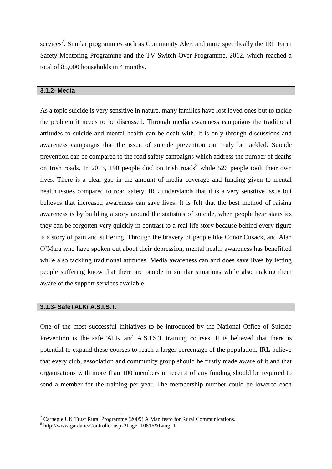services<sup>7</sup>. Similar programmes such as Community Alert and more specifically the IRL Farm Safety Mentoring Programme and the TV Switch Over Programme, 2012, which reached a total of 85,000 households in 4 months.

#### **3.1.2- Media**

As a topic suicide is very sensitive in nature, many families have lost loved ones but to tackle the problem it needs to be discussed. Through media awareness campaigns the traditional attitudes to suicide and mental health can be dealt with. It is only through discussions and awareness campaigns that the issue of suicide prevention can truly be tackled. Suicide prevention can be compared to the road safety campaigns which address the number of deaths on Irish roads. In 2013, 190 people died on Irish roads<sup>8</sup> while 526 people took their own lives. There is a clear gap in the amount of media coverage and funding given to mental health issues compared to road safety. IRL understands that it is a very sensitive issue but believes that increased awareness can save lives. It is felt that the best method of raising awareness is by building a story around the statistics of suicide, when people hear statistics they can be forgotten very quickly in contrast to a real life story because behind every figure is a story of pain and suffering. Through the bravery of people like Conor Cusack, and Alan O'Mara who have spoken out about their depression, mental health awareness has benefitted while also tackling traditional attitudes. Media awareness can and does save lives by letting people suffering know that there are people in similar situations while also making them aware of the support services available.

#### **3.1.3- SafeTALK/ A.S.I.S.T.**

1

One of the most successful initiatives to be introduced by the National Office of Suicide Prevention is the safeTALK and A.S.I.S.T training courses. It is believed that there is potential to expand these courses to reach a larger percentage of the population. IRL believe that every club, association and community group should be firstly made aware of it and that organisations with more than 100 members in receipt of any funding should be required to send a member for the training per year. The membership number could be lowered each

<sup>&</sup>lt;sup>7</sup> Carnegie UK Trust Rural Programme (2009) A Manifesto for Rural Communications.

<sup>8</sup> http://www.garda.ie/Controller.aspx?Page=10816&Lang=1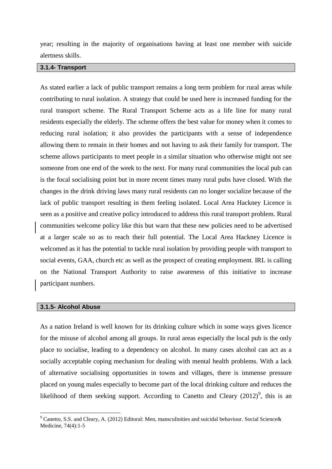year; resulting in the majority of organisations having at least one member with suicide alertness skills.

# **3.1.4- Transport**

As stated earlier a lack of public transport remains a long term problem for rural areas while contributing to rural isolation. A strategy that could be used here is increased funding for the rural transport scheme. The Rural Transport Scheme acts as a life line for many rural residents especially the elderly. The scheme offers the best value for money when it comes to reducing rural isolation; it also provides the participants with a sense of independence allowing them to remain in their homes and not having to ask their family for transport. The scheme allows participants to meet people in a similar situation who otherwise might not see someone from one end of the week to the next. For many rural communities the local pub can is the focal socialising point but in more recent times many rural pubs have closed. With the changes in the drink driving laws many rural residents can no longer socialize because of the lack of public transport resulting in them feeling isolated. Local Area Hackney Licence is seen as a positive and creative policy introduced to address this rural transport problem. Rural communities welcome policy like this but warn that these new policies need to be advertised at a larger scale so as to reach their full potential. The Local Area Hackney Licence is welcomed as it has the potential to tackle rural isolation by providing people with transport to social events, GAA, church etc as well as the prospect of creating employment. IRL is calling on the National Transport Authority to raise awareness of this initiative to increase participant numbers.

#### **3.1.5- Alcohol Abuse**

1

As a nation Ireland is well known for its drinking culture which in some ways gives licence for the misuse of alcohol among all groups. In rural areas especially the local pub is the only place to socialise, leading to a dependency on alcohol. In many cases alcohol can act as a socially acceptable coping mechanism for dealing with mental health problems. With a lack of alternative socialising opportunities in towns and villages, there is immense pressure placed on young males especially to become part of the local drinking culture and reduces the likelihood of them seeking support. According to Canetto and Cleary  $(2012)^9$ , this is an

<sup>9</sup> Canetto, S.S. and Cleary, A. (2012) Editoral: Men, mansculinities and suicidal behaviour. Social Science& Medicine, 74(4):1-5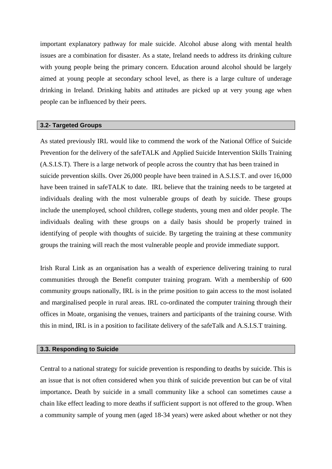important explanatory pathway for male suicide. Alcohol abuse along with mental health issues are a combination for disaster. As a state, Ireland needs to address its drinking culture with young people being the primary concern. Education around alcohol should be largely aimed at young people at secondary school level, as there is a large culture of underage drinking in Ireland. Drinking habits and attitudes are picked up at very young age when people can be influenced by their peers.

#### **3.2- Targeted Groups**

As stated previously IRL would like to commend the work of the National Office of Suicide Prevention for the delivery of the safeTALK and Applied Suicide Intervention Skills Training (A.S.I.S.T). There is a large network of people across the country that has been trained in suicide prevention skills. Over 26,000 people have been trained in A.S.I.S.T. and over 16,000 have been trained in safeTALK to date. IRL believe that the training needs to be targeted at individuals dealing with the most vulnerable groups of death by suicide. These groups include the unemployed, school children, college students, young men and older people. The individuals dealing with these groups on a daily basis should be properly trained in identifying of people with thoughts of suicide. By targeting the training at these community groups the training will reach the most vulnerable people and provide immediate support.

Irish Rural Link as an organisation has a wealth of experience delivering training to rural communities through the Benefit computer training program. With a membership of 600 community groups nationally, IRL is in the prime position to gain access to the most isolated and marginalised people in rural areas. IRL co-ordinated the computer training through their offices in Moate, organising the venues, trainers and participants of the training course. With this in mind, IRL is in a position to facilitate delivery of the safeTalk and A.S.I.S.T training.

### **3.3. Responding to Suicide**

Central to a national strategy for suicide prevention is responding to deaths by suicide. This is an issue that is not often considered when you think of suicide prevention but can be of vital importance**.** Death by suicide in a small community like a school can sometimes cause a chain like effect leading to more deaths if sufficient support is not offered to the group. When a community sample of young men (aged 18-34 years) were asked about whether or not they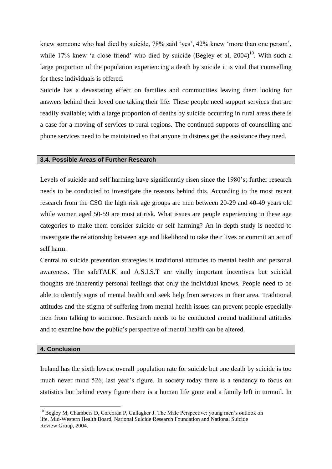knew someone who had died by suicide, 78% said 'yes', 42% knew 'more than one person', while 17% knew 'a close friend' who died by suicide (Begley et al,  $2004$ )<sup>10</sup>. With such a large proportion of the population experiencing a death by suicide it is vital that counselling for these individuals is offered.

Suicide has a devastating effect on families and communities leaving them looking for answers behind their loved one taking their life. These people need support services that are readily available; with a large proportion of deaths by suicide occurring in rural areas there is a case for a moving of services to rural regions. The continued supports of counselling and phone services need to be maintained so that anyone in distress get the assistance they need.

#### **3.4. Possible Areas of Further Research**

Levels of suicide and self harming have significantly risen since the 1980's; further research needs to be conducted to investigate the reasons behind this. According to the most recent research from the CSO the high risk age groups are men between 20-29 and 40-49 years old while women aged 50-59 are most at risk. What issues are people experiencing in these age categories to make them consider suicide or self harming? An in-depth study is needed to investigate the relationship between age and likelihood to take their lives or commit an act of self harm.

Central to suicide prevention strategies is traditional attitudes to mental health and personal awareness. The safeTALK and A.S.I.S.T are vitally important incentives but suicidal thoughts are inherently personal feelings that only the individual knows. People need to be able to identify signs of mental health and seek help from services in their area. Traditional attitudes and the stigma of suffering from mental health issues can prevent people especially men from talking to someone. Research needs to be conducted around traditional attitudes and to examine how the public's perspective of mental health can be altered.

#### **4. Conclusion**

<u>.</u>

Ireland has the sixth lowest overall population rate for suicide but one death by suicide is too much never mind 526, last year's figure. In society today there is a tendency to focus on statistics but behind every figure there is a human life gone and a family left in turmoil. In

 $10$  Begley M, Chambers D, Corcoran P, Gallagher J. The Male Perspective: young men's outlook on life. Mid-Western Health Board, National Suicide Research Foundation and National Suicide Review Group, 2004.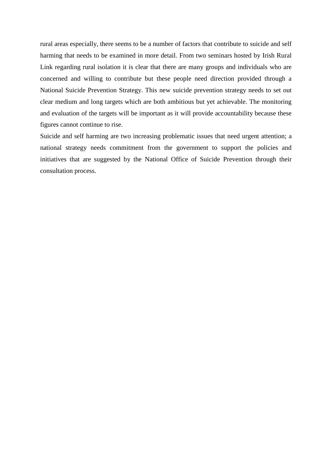rural areas especially, there seems to be a number of factors that contribute to suicide and self harming that needs to be examined in more detail. From two seminars hosted by Irish Rural Link regarding rural isolation it is clear that there are many groups and individuals who are concerned and willing to contribute but these people need direction provided through a National Suicide Prevention Strategy. This new suicide prevention strategy needs to set out clear medium and long targets which are both ambitious but yet achievable. The monitoring and evaluation of the targets will be important as it will provide accountability because these figures cannot continue to rise.

Suicide and self harming are two increasing problematic issues that need urgent attention; a national strategy needs commitment from the government to support the policies and initiatives that are suggested by the National Office of Suicide Prevention through their consultation process.